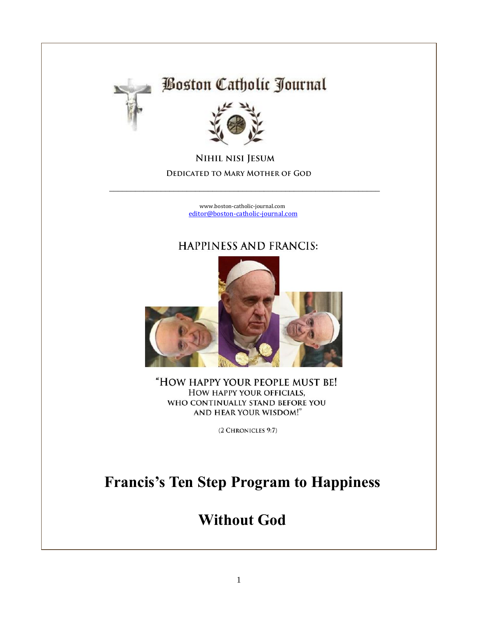

# **Boston Catholic Journal**



**NIHIL NISI JESUM** DEDICATED TO MARY MOTHER OF GOD

> [www.boston-catholic-journal.com](http://www.boston-catholic-journal.com/) [editor@boston-catholic-journal.com](mailto:editor@boston-catholic-journal.com)

\_\_\_\_\_\_\_\_\_\_\_\_\_\_\_\_\_\_\_\_\_\_\_\_\_\_\_\_\_\_\_\_\_\_\_\_\_\_\_\_\_\_\_\_\_\_\_\_\_\_\_\_\_\_\_\_\_\_\_\_\_\_\_

#### **HAPPINESS AND FRANCIS:**



"HOW HAPPY YOUR PEOPLE MUST BE! HOW HAPPY YOUR OFFICIALS, WHO CONTINUALLY STAND BEFORE YOU AND HEAR YOUR WISDOM!"

(2 CHRONICLES 9:7)

## **Francis's Ten Step Program to Happiness**

## **Without God**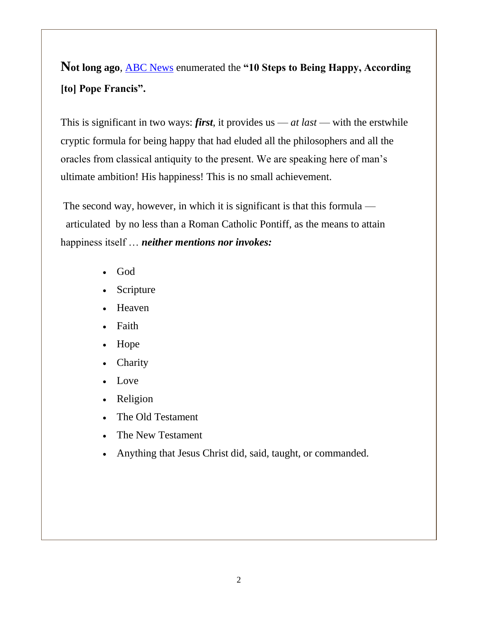**Not long ago**, [ABC News](http://abcnews.go.com/International/pope-francis-10-steps-happy/story?id=24819442) enumerated the **"10 Steps to Being Happy, According [to] Pope Francis".** 

This is significant in two ways: *first*, it provides us — *at last* — with the erstwhile cryptic formula for being happy that had eluded all the philosophers and all the oracles from classical antiquity to the present. We are speaking here of man's ultimate ambition! His happiness! This is no small achievement.

The second way, however, in which it is significant is that this formula articulated by no less than a Roman Catholic Pontiff, as the means to attain happiness itself … *neither mentions nor invokes:*

- God
- Scripture
- Heaven
- Faith
- Hope
- Charity
- Love
- Religion
- The Old Testament
- The New Testament
- Anything that Jesus Christ did, said, taught, or commanded.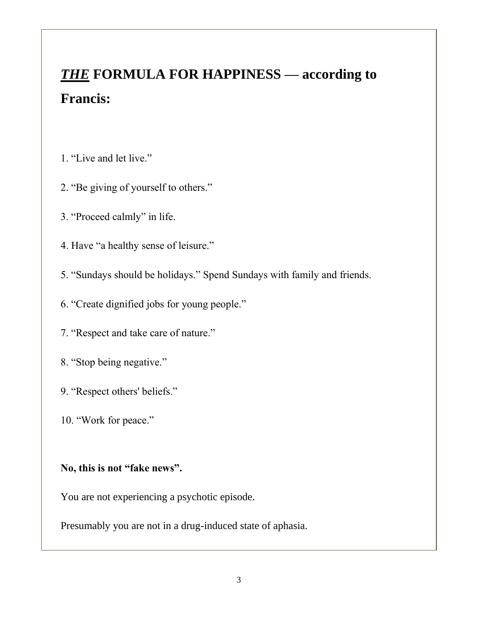# *THE* **FORMULA FOR HAPPINESS — according to Francis:**

- 1. "Live and let live."
- 2. "Be giving of yourself to others."
- 3. "Proceed calmly" in life.
- 4. Have "a healthy sense of leisure."
- 5. "Sundays should be holidays." Spend Sundays with family and friends.
- 6. "Create dignified jobs for young people."
- 7. "Respect and take care of nature."
- 8. "Stop being negative."
- 9. "Respect others' beliefs."
- 10. "Work for peace."

#### **No, this is not "fake news".**

You are not experiencing a psychotic episode.

Presumably you are not in a drug-induced state of aphasia.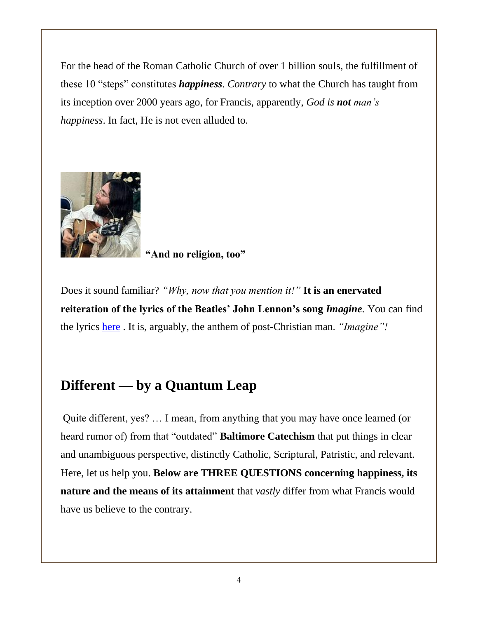For the head of the Roman Catholic Church of over 1 billion souls, the fulfillment of these 10 "steps" constitutes *happiness*. *Contrary* to what the Church has taught from its inception over 2000 years ago, for Francis, apparently, *God is not man's happiness*. In fact, He is not even alluded to.



**"And no religion, too"**

Does it sound familiar? *"Why, now that you mention it!"* **It is an enervated reiteration of the lyrics of the Beatles' John Lennon's song** *Imagine.* You can find the lyrics [here](http://www.azlyrics.com/lyrics/johnlennon/imagine.html) . It is, arguably, the anthem of post-Christian man. *"Imagine"!*

### **Different — by a Quantum Leap**

Quite different, yes? … I mean, from anything that you may have once learned (or heard rumor of) from that "outdated" **Baltimore Catechism** that put things in clear and unambiguous perspective, distinctly Catholic, Scriptural, Patristic, and relevant. Here, let us help you. **Below are THREE QUESTIONS concerning happiness, its nature and the means of its attainment** that *vastly* differ from what Francis would have us believe to the contrary.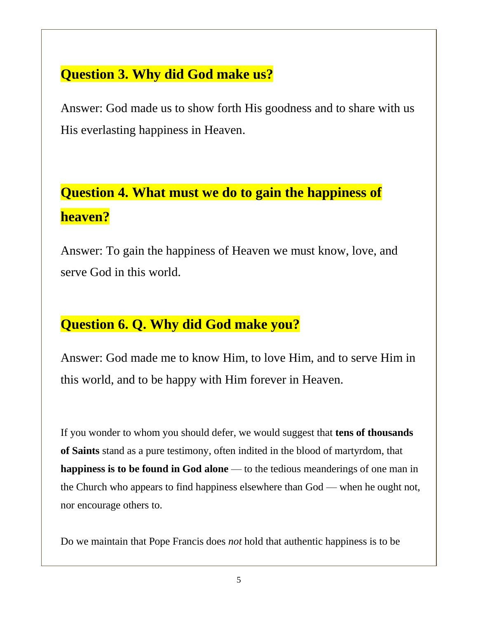### **Question 3. Why did God make us?**

Answer: God made us to show forth His goodness and to share with us His everlasting happiness in Heaven.

# **Question 4. What must we do to gain the happiness of heaven?**

Answer: To gain the happiness of Heaven we must know, love, and serve God in this world.

## **Question 6. Q. Why did God make you?**

Answer: God made me to know Him, to love Him, and to serve Him in this world, and to be happy with Him forever in Heaven.

If you wonder to whom you should defer, we would suggest that **tens of thousands of Saints** stand as a pure testimony, often indited in the blood of martyrdom, that **happiness is to be found in God alone** — to the tedious meanderings of one man in the Church who appears to find happiness elsewhere than God — when he ought not, nor encourage others to.

Do we maintain that Pope Francis does *not* hold that authentic happiness is to be